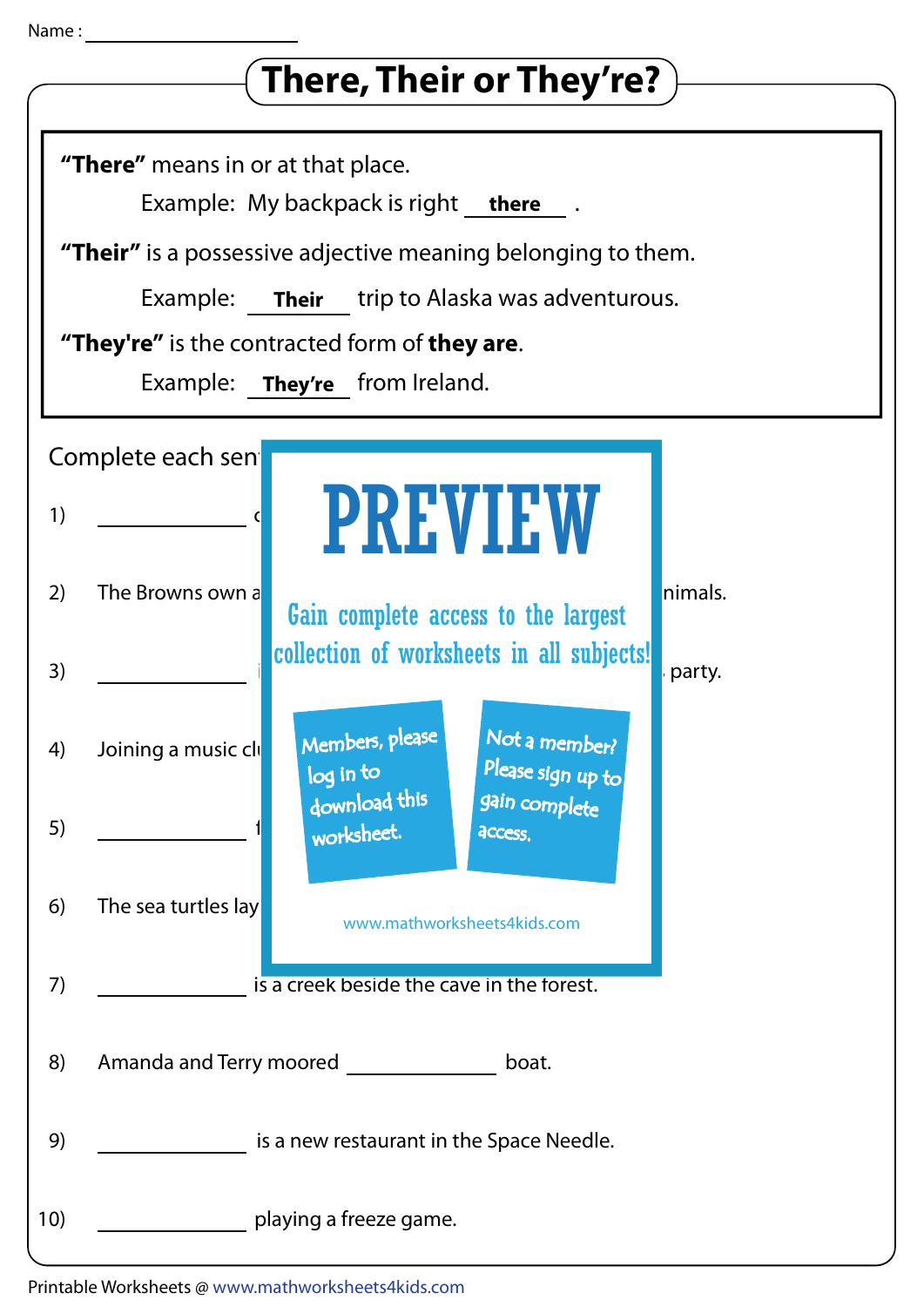## Name :

| There, Their or They're?                                                                                                                                                                                                                                                                        |
|-------------------------------------------------------------------------------------------------------------------------------------------------------------------------------------------------------------------------------------------------------------------------------------------------|
| "There" means in or at that place.<br>Example: My backpack is right there<br><b>"Their"</b> is a possessive adjective meaning belonging to them.<br>Example: <b>Their</b> trip to Alaska was adventurous.<br>"They're" is the contracted form of they are.<br>Example:<br>They're from Ireland. |
| Complete each sen                                                                                                                                                                                                                                                                               |
| <b>PREVIEW</b><br>1)                                                                                                                                                                                                                                                                            |
| nimals.<br>2)<br>The Browns own a<br>Gain complete access to the largest                                                                                                                                                                                                                        |
| collection of worksheets in all subjects!<br>3)<br>party.                                                                                                                                                                                                                                       |
| Not a member?<br>Members, please<br>Joining a music clu<br>4)<br>Please sign up to<br>log in to                                                                                                                                                                                                 |
| download this<br>gain complete<br>5)<br>worksheet.<br>access.                                                                                                                                                                                                                                   |
| The sea turtles lay<br>6)<br>www.mathworksheets4kids.com                                                                                                                                                                                                                                        |
| 7)<br>is a creek beside the cave in the forest.                                                                                                                                                                                                                                                 |
| Amanda and Terry moored<br>8)<br>boat.                                                                                                                                                                                                                                                          |
| 9)<br>is a new restaurant in the Space Needle.                                                                                                                                                                                                                                                  |
| 10)<br>playing a freeze game.                                                                                                                                                                                                                                                                   |